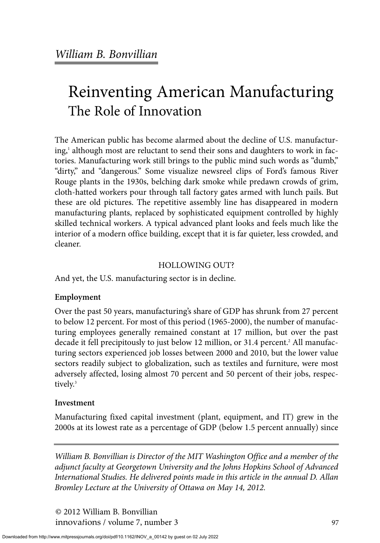# Reinventing American Manufacturing The Role of Innovation

The American public has become alarmed about the decline of U.S. manufacturing,<sup>1</sup> although most are reluctant to send their sons and daughters to work in factories. Manufacturing work still brings to the public mind such words as "dumb," "dirty," and "dangerous." Some visualize newsreel clips of Ford's famous River Rouge plants in the 1930s, belching dark smoke while predawn crowds of grim, cloth-hatted workers pour through tall factory gates armed with lunch pails. But these are old pictures. The repetitive assembly line has disappeared in modern manufacturing plants, replaced by sophisticated equipment controlled by highly skilled technical workers. A typical advanced plant looks and feels much like the interior of a modern office building, except that it is far quieter, less crowded, and cleaner.

# HOLLOWING OUT?

And yet, the U.S. manufacturing sector is in decline.

# **Employment**

Over the past 50 years, manufacturing's share of GDP has shrunk from 27 percent to below 12 percent. For most of this period (1965-2000), the number of manufacturing employees generally remained constant at 17 million, but over the past decade it fell precipitously to just below 12 million, or  $31.4$  percent.<sup>2</sup> All manufacturing sectors experienced job losses between 2000 and 2010, but the lower value sectors readily subject to globalization, such as textiles and furniture, were most adversely affected, losing almost 70 percent and 50 percent of their jobs, respectively.<sup>3</sup>

# **Investment**

Manufacturing fixed capital investment (plant, equipment, and IT) grew in the 2000s at its lowest rate as a percentage of GDP (below 1.5 percent annually) since

*William B. Bonvillian is Director of the MIT Washington Office and a member of the adjunct faculty at Georgetown University and the Johns Hopkins School of Advanced International Studies. He delivered points made in this article in the annual D. Allan Bromley Lecture at the University of Ottawa on May 14, 2012.*

© 2012 William B. Bonvillian innovations / volume 7, number 3 97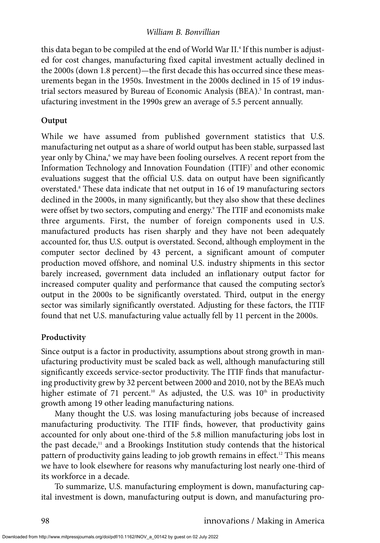this data began to be compiled at the end of World War II.<sup>4</sup> If this number is adjusted for cost changes, manufacturing fixed capital investment actually declined in the 2000s (down 1.8 percent)—the first decade this has occurred since these measurements began in the 1950s. Investment in the 2000s declined in 15 of 19 industrial sectors measured by Bureau of Economic Analysis (BEA).<sup>5</sup> In contrast, manufacturing investment in the 1990s grew an average of 5.5 percent annually.

## **Output**

While we have assumed from published government statistics that U.S. manufacturing net output as a share of world output has been stable, surpassed last year only by China,<sup>6</sup> we may have been fooling ourselves. A recent report from the Information Technology and Innovation Foundation (ITIF)<sup>7</sup> and other economic evaluations suggest that the official U.S. data on output have been significantly overstated.8 These data indicate that net output in 16 of 19 manufacturing sectors declined in the 2000s, in many significantly, but they also show that these declines were offset by two sectors, computing and energy.<sup>9</sup> The ITIF and economists make three arguments. First, the number of foreign components used in U.S. manufactured products has risen sharply and they have not been adequately accounted for, thus U.S. output is overstated. Second, although employment in the computer sector declined by 43 percent, a significant amount of computer production moved offshore, and nominal U.S. industry shipments in this sector barely increased, government data included an inflationary output factor for increased computer quality and performance that caused the computing sector's output in the 2000s to be significantly overstated. Third, output in the energy sector was similarly significantly overstated. Adjusting for these factors, the ITIF found that net U.S. manufacturing value actually fell by 11 percent in the 2000s.

#### **Productivity**

Since output is a factor in productivity, assumptions about strong growth in manufacturing productivity must be scaled back as well, although manufacturing still significantly exceeds service-sector productivity. The ITIF finds that manufacturing productivity grew by 32 percent between 2000 and 2010, not by the BEA's much higher estimate of 71 percent.<sup>10</sup> As adjusted, the U.S. was 10<sup>th</sup> in productivity growth among 19 other leading manufacturing nations.

Many thought the U.S. was losing manufacturing jobs because of increased manufacturing productivity. The ITIF finds, however, that productivity gains accounted for only about one-third of the 5.8 million manufacturing jobs lost in the past decade,<sup>11</sup> and a Brookings Institution study contends that the historical pattern of productivity gains leading to job growth remains in effect.<sup>12</sup> This means we have to look elsewhere for reasons why manufacturing lost nearly one-third of its workforce in a decade.

To summarize, U.S. manufacturing employment is down, manufacturing capital investment is down, manufacturing output is down, and manufacturing pro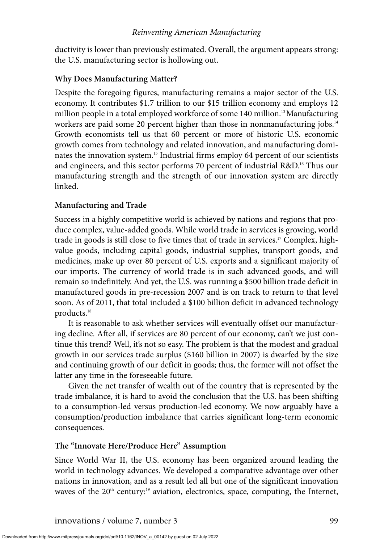ductivity is lower than previously estimated. Overall, the argument appears strong: the U.S. manufacturing sector is hollowing out.

# **Why Does Manufacturing Matter?**

Despite the foregoing figures, manufacturing remains a major sector of the U.S. economy. It contributes \$1.7 trillion to our \$15 trillion economy and employs 12 million people in a total employed workforce of some 140 million.<sup>13</sup> Manufacturing workers are paid some 20 percent higher than those in nonmanufacturing jobs.<sup>14</sup> Growth economists tell us that 60 percent or more of historic U.S. economic growth comes from technology and related innovation, and manufacturing dominates the innovation system.15 Industrial firms employ 64 percent of our scientists and engineers, and this sector performs 70 percent of industrial R&D.<sup>16</sup> Thus our manufacturing strength and the strength of our innovation system are directly linked.

# **Manufacturing and Trade**

Success in a highly competitive world is achieved by nations and regions that produce complex, value-added goods. While world trade in services is growing, world trade in goods is still close to five times that of trade in services.<sup>17</sup> Complex, highvalue goods, including capital goods, industrial supplies, transport goods, and medicines, make up over 80 percent of U.S. exports and a significant majority of our imports. The currency of world trade is in such advanced goods, and will remain so indefinitely. And yet, the U.S. was running a \$500 billion trade deficit in manufactured goods in pre-recession 2007 and is on track to return to that level soon. As of 2011, that total included a \$100 billion deficit in advanced technology products.18

It is reasonable to ask whether services will eventually offset our manufacturing decline. After all, if services are 80 percent of our economy, can't we just continue this trend? Well, it's not so easy. The problem is that the modest and gradual growth in our services trade surplus (\$160 billion in 2007) is dwarfed by the size and continuing growth of our deficit in goods; thus, the former will not offset the latter any time in the foreseeable future.

Given the net transfer of wealth out of the country that is represented by the trade imbalance, it is hard to avoid the conclusion that the U.S. has been shifting to a consumption-led versus production-led economy. We now arguably have a consumption/production imbalance that carries significant long-term economic consequences.

# **The "Innovate Here/Produce Here" Assumption**

Since World War II, the U.S. economy has been organized around leading the world in technology advances. We developed a comparative advantage over other nations in innovation, and as a result led all but one of the significant innovation waves of the  $20<sup>th</sup>$  century:<sup>19</sup> aviation, electronics, space, computing, the Internet,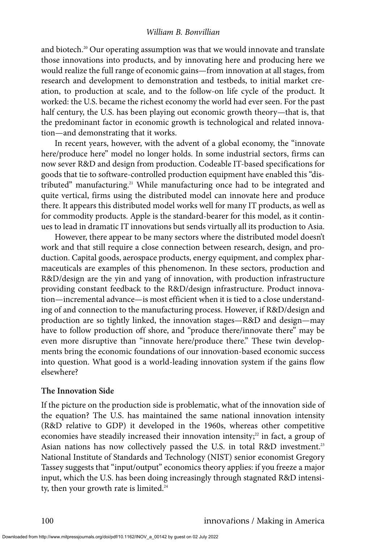and biotech.<sup>20</sup> Our operating assumption was that we would innovate and translate those innovations into products, and by innovating here and producing here we would realize the full range of economic gains—from innovation at all stages, from research and development to demonstration and testbeds, to initial market creation, to production at scale, and to the follow-on life cycle of the product. It worked: the U.S. became the richest economy the world had ever seen. For the past half century, the U.S. has been playing out economic growth theory—that is, that the predominant factor in economic growth is technological and related innovation—and demonstrating that it works.

In recent years, however, with the advent of a global economy, the "innovate here/produce here" model no longer holds. In some industrial sectors, firms can now sever R&D and design from production. Codeable IT-based specifications for goods that tie to software-controlled production equipment have enabled this "distributed" manufacturing.<sup>21</sup> While manufacturing once had to be integrated and quite vertical, firms using the distributed model can innovate here and produce there. It appears this distributed model works well for many IT products, as well as for commodity products. Apple is the standard-bearer for this model, as it continues to lead in dramatic IT innovations but sends virtually all its production to Asia.

However, there appear to be many sectors where the distributed model doesn't work and that still require a close connection between research, design, and production. Capital goods, aerospace products, energy equipment, and complex pharmaceuticals are examples of this phenomenon. In these sectors, production and R&D/design are the yin and yang of innovation, with production infrastructure providing constant feedback to the R&D/design infrastructure. Product innovation—incremental advance—is most efficient when it is tied to a close understanding of and connection to the manufacturing process. However, if R&D/design and production are so tightly linked, the innovation stages—R&D and design—may have to follow production off shore, and "produce there/innovate there" may be even more disruptive than "innovate here/produce there." These twin developments bring the economic foundations of our innovation-based economic success into question. What good is a world-leading innovation system if the gains flow elsewhere?

## **The Innovation Side**

If the picture on the production side is problematic, what of the innovation side of the equation? The U.S. has maintained the same national innovation intensity (R&D relative to GDP) it developed in the 1960s, whereas other competitive economies have steadily increased their innovation intensity; $2^{2}$  in fact, a group of Asian nations has now collectively passed the U.S. in total R&D investment.<sup>23</sup> National Institute of Standards and Technology (NIST) senior economist Gregory Tassey suggests that "input/output" economics theory applies: if you freeze a major input, which the U.S. has been doing increasingly through stagnated R&D intensity, then your growth rate is limited. $24$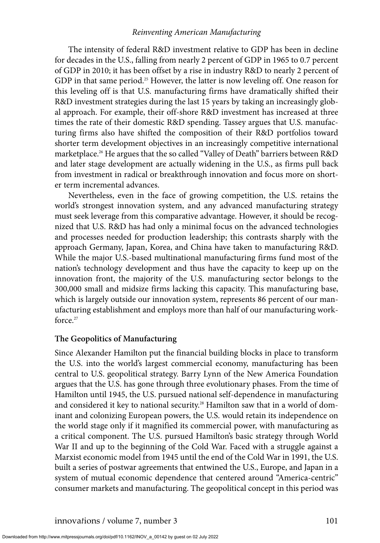The intensity of federal R&D investment relative to GDP has been in decline for decades in the U.S., falling from nearly 2 percent of GDP in 1965 to 0.7 percent of GDP in 2010; it has been offset by a rise in industry R&D to nearly 2 percent of GDP in that same period.<sup>25</sup> However, the latter is now leveling off. One reason for this leveling off is that U.S. manufacturing firms have dramatically shifted their R&D investment strategies during the last 15 years by taking an increasingly global approach. For example, their off-shore R&D investment has increased at three times the rate of their domestic R&D spending. Tassey argues that U.S. manufacturing firms also have shifted the composition of their R&D portfolios toward shorter term development objectives in an increasingly competitive international marketplace.<sup>26</sup> He argues that the so called "Valley of Death" barriers between R&D and later stage development are actually widening in the U.S., as firms pull back from investment in radical or breakthrough innovation and focus more on shorter term incremental advances.

Nevertheless, even in the face of growing competition, the U.S. retains the world's strongest innovation system, and any advanced manufacturing strategy must seek leverage from this comparative advantage. However, it should be recognized that U.S. R&D has had only a minimal focus on the advanced technologies and processes needed for production leadership; this contrasts sharply with the approach Germany, Japan, Korea, and China have taken to manufacturing R&D. While the major U.S.-based multinational manufacturing firms fund most of the nation's technology development and thus have the capacity to keep up on the innovation front, the majority of the U.S. manufacturing sector belongs to the 300,000 small and midsize firms lacking this capacity. This manufacturing base, which is largely outside our innovation system, represents 86 percent of our manufacturing establishment and employs more than half of our manufacturing workforce.<sup>27</sup>

# **The Geopolitics of Manufacturing**

Since Alexander Hamilton put the financial building blocks in place to transform the U.S. into the world's largest commercial economy, manufacturing has been central to U.S. geopolitical strategy. Barry Lynn of the New America Foundation argues that the U.S. has gone through three evolutionary phases. From the time of Hamilton until 1945, the U.S. pursued national self-dependence in manufacturing and considered it key to national security.<sup>28</sup> Hamilton saw that in a world of dominant and colonizing European powers, the U.S. would retain its independence on the world stage only if it magnified its commercial power, with manufacturing as a critical component. The U.S. pursued Hamilton's basic strategy through World War II and up to the beginning of the Cold War. Faced with a struggle against a Marxist economic model from 1945 until the end of the Cold War in 1991, the U.S. built a series of postwar agreements that entwined the U.S., Europe, and Japan in a system of mutual economic dependence that centered around "America-centric" consumer markets and manufacturing. The geopolitical concept in this period was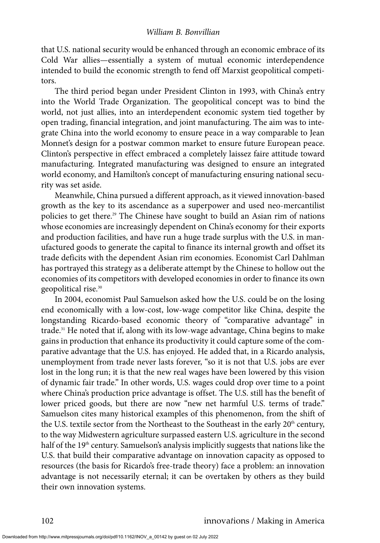that U.S. national security would be enhanced through an economic embrace of its Cold War allies—essentially a system of mutual economic interdependence intended to build the economic strength to fend off Marxist geopolitical competitors.

The third period began under President Clinton in 1993, with China's entry into the World Trade Organization. The geopolitical concept was to bind the world, not just allies, into an interdependent economic system tied together by open trading, financial integration, and joint manufacturing. The aim was to integrate China into the world economy to ensure peace in a way comparable to Jean Monnet's design for a postwar common market to ensure future European peace. Clinton's perspective in effect embraced a completely laissez faire attitude toward manufacturing. Integrated manufacturing was designed to ensure an integrated world economy, and Hamilton's concept of manufacturing ensuring national security was set aside.

Meanwhile, China pursued a different approach, as it viewed innovation-based growth as the key to its ascendance as a superpower and used neo-mercantilist policies to get there.<sup>29</sup> The Chinese have sought to build an Asian rim of nations whose economies are increasingly dependent on China's economy for their exports and production facilities, and have run a huge trade surplus with the U.S. in manufactured goods to generate the capital to finance its internal growth and offset its trade deficits with the dependent Asian rim economies. Economist Carl Dahlman has portrayed this strategy as a deliberate attempt by the Chinese to hollow out the economies of its competitors with developed economies in order to finance its own geopolitical rise.30

In 2004, economist Paul Samuelson asked how the U.S. could be on the losing end economically with a low-cost, low-wage competitor like China, despite the longstanding Ricardo-based economic theory of "comparative advantage" in trade.31 He noted that if, along with its low-wage advantage, China begins to make gains in production that enhance its productivity it could capture some of the comparative advantage that the U.S. has enjoyed. He added that, in a Ricardo analysis, unemployment from trade never lasts forever, "so it is not that U.S. jobs are ever lost in the long run; it is that the new real wages have been lowered by this vision of dynamic fair trade." In other words, U.S. wages could drop over time to a point where China's production price advantage is offset. The U.S. still has the benefit of lower priced goods, but there are now "new net harmful U.S. terms of trade." Samuelson cites many historical examples of this phenomenon, from the shift of the U.S. textile sector from the Northeast to the Southeast in the early 20<sup>th</sup> century, to the way Midwestern agriculture surpassed eastern U.S. agriculture in the second half of the 19<sup>th</sup> century. Samuelson's analysis implicitly suggests that nations like the U.S. that build their comparative advantage on innovation capacity as opposed to resources (the basis for Ricardo's free-trade theory) face a problem: an innovation advantage is not necessarily eternal; it can be overtaken by others as they build their own innovation systems.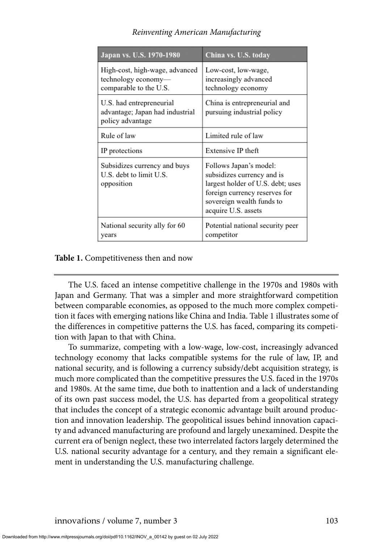| Japan vs. U.S. 1970-1980                                                        | China vs. U.S. today                                                                                                                                                           |  |  |  |
|---------------------------------------------------------------------------------|--------------------------------------------------------------------------------------------------------------------------------------------------------------------------------|--|--|--|
| High-cost, high-wage, advanced<br>technology economy-<br>comparable to the U.S. | Low-cost, low-wage,<br>increasingly advanced<br>technology economy                                                                                                             |  |  |  |
| U.S. had entrepreneurial<br>advantage; Japan had industrial<br>policy advantage | China is entrepreneurial and<br>pursuing industrial policy                                                                                                                     |  |  |  |
| Rule of law                                                                     | Limited rule of law                                                                                                                                                            |  |  |  |
| IP protections                                                                  | Extensive IP theft                                                                                                                                                             |  |  |  |
| Subsidizes currency and buys<br>U.S. debt to limit U.S.<br>opposition           | Follows Japan's model:<br>subsidizes currency and is<br>largest holder of U.S. debt; uses<br>foreign currency reserves for<br>sovereign wealth funds to<br>acquire U.S. assets |  |  |  |
| National security ally for 60<br>years                                          | Potential national security peer<br>competitor                                                                                                                                 |  |  |  |

#### **Table 1.** Competitiveness then and now

The U.S. faced an intense competitive challenge in the 1970s and 1980s with Japan and Germany. That was a simpler and more straightforward competition between comparable economies, as opposed to the much more complex competition it faces with emerging nations like China and India. Table 1 illustrates some of the differences in competitive patterns the U.S. has faced, comparing its competition with Japan to that with China.

To summarize, competing with a low-wage, low-cost, increasingly advanced technology economy that lacks compatible systems for the rule of law, IP, and national security, and is following a currency subsidy/debt acquisition strategy, is much more complicated than the competitive pressures the U.S. faced in the 1970s and 1980s. At the same time, due both to inattention and a lack of understanding of its own past success model, the U.S. has departed from a geopolitical strategy that includes the concept of a strategic economic advantage built around production and innovation leadership. The geopolitical issues behind innovation capacity and advanced manufacturing are profound and largely unexamined. Despite the current era of benign neglect, these two interrelated factors largely determined the U.S. national security advantage for a century, and they remain a significant element in understanding the U.S. manufacturing challenge.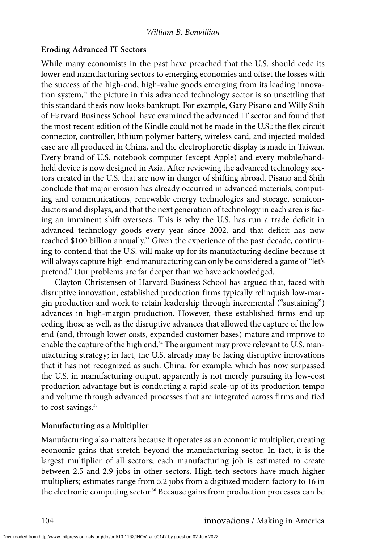## **Eroding Advanced IT Sectors**

While many economists in the past have preached that the U.S. should cede its lower end manufacturing sectors to emerging economies and offset the losses with the success of the high-end, high-value goods emerging from its leading innovation system,<sup>32</sup> the picture in this advanced technology sector is so unsettling that this standard thesis now looks bankrupt. For example, Gary Pisano and Willy Shih of Harvard Business School have examined the advanced IT sector and found that the most recent edition of the Kindle could not be made in the U.S.: the flex circuit connector, controller, lithium polymer battery, wireless card, and injected molded case are all produced in China, and the electrophoretic display is made in Taiwan. Every brand of U.S. notebook computer (except Apple) and every mobile/handheld device is now designed in Asia. After reviewing the advanced technology sectors created in the U.S. that are now in danger of shifting abroad, Pisano and Shih conclude that major erosion has already occurred in advanced materials, computing and communications, renewable energy technologies and storage, semiconductors and displays, and that the next generation of technology in each area is facing an imminent shift overseas. This is why the U.S. has run a trade deficit in advanced technology goods every year since 2002, and that deficit has now reached \$100 billion annually.<sup>33</sup> Given the experience of the past decade, continuing to contend that the U.S. will make up for its manufacturing decline because it will always capture high-end manufacturing can only be considered a game of "let's pretend." Our problems are far deeper than we have acknowledged.

Clayton Christensen of Harvard Business School has argued that, faced with disruptive innovation, established production firms typically relinquish low-margin production and work to retain leadership through incremental ("sustaining") advances in high-margin production. However, these established firms end up ceding those as well, as the disruptive advances that allowed the capture of the low end (and, through lower costs, expanded customer bases) mature and improve to enable the capture of the high end.<sup>34</sup> The argument may prove relevant to U.S. manufacturing strategy; in fact, the U.S. already may be facing disruptive innovations that it has not recognized as such. China, for example, which has now surpassed the U.S. in manufacturing output, apparently is not merely pursuing its low-cost production advantage but is conducting a rapid scale-up of its production tempo and volume through advanced processes that are integrated across firms and tied to cost savings.<sup>35</sup>

# **Manufacturing as a Multiplier**

Manufacturing also matters because it operates as an economic multiplier, creating economic gains that stretch beyond the manufacturing sector. In fact, it is the largest multiplier of all sectors; each manufacturing job is estimated to create between 2.5 and 2.9 jobs in other sectors. High-tech sectors have much higher multipliers; estimates range from 5.2 jobs from a digitized modern factory to 16 in the electronic computing sector.<sup>36</sup> Because gains from production processes can be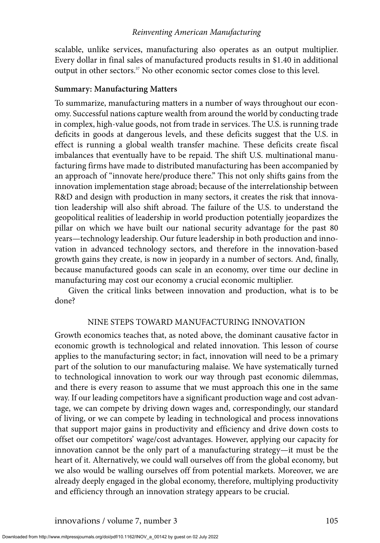scalable, unlike services, manufacturing also operates as an output multiplier. Every dollar in final sales of manufactured products results in \$1.40 in additional output in other sectors.<sup>37</sup> No other economic sector comes close to this level.

## **Summary: Manufacturing Matters**

To summarize, manufacturing matters in a number of ways throughout our economy. Successful nations capture wealth from around the world by conducting trade in complex, high-value goods, not from trade in services. The U.S. is running trade deficits in goods at dangerous levels, and these deficits suggest that the U.S. in effect is running a global wealth transfer machine. These deficits create fiscal imbalances that eventually have to be repaid. The shift U.S. multinational manufacturing firms have made to distributed manufacturing has been accompanied by an approach of "innovate here/produce there." This not only shifts gains from the innovation implementation stage abroad; because of the interrelationship between R&D and design with production in many sectors, it creates the risk that innovation leadership will also shift abroad. The failure of the U.S. to understand the geopolitical realities of leadership in world production potentially jeopardizes the pillar on which we have built our national security advantage for the past 80 years—technology leadership. Our future leadership in both production and innovation in advanced technology sectors, and therefore in the innovation-based growth gains they create, is now in jeopardy in a number of sectors. And, finally, because manufactured goods can scale in an economy, over time our decline in manufacturing may cost our economy a crucial economic multiplier.

Given the critical links between innovation and production, what is to be done?

## NINE STEPS TOWARD MANUFACTURING INNOVATION

Growth economics teaches that, as noted above, the dominant causative factor in economic growth is technological and related innovation. This lesson of course applies to the manufacturing sector; in fact, innovation will need to be a primary part of the solution to our manufacturing malaise. We have systematically turned to technological innovation to work our way through past economic dilemmas, and there is every reason to assume that we must approach this one in the same way. If our leading competitors have a significant production wage and cost advantage, we can compete by driving down wages and, correspondingly, our standard of living, or we can compete by leading in technological and process innovations that support major gains in productivity and efficiency and drive down costs to offset our competitors' wage/cost advantages. However, applying our capacity for innovation cannot be the only part of a manufacturing strategy—it must be the heart of it. Alternatively, we could wall ourselves off from the global economy, but we also would be walling ourselves off from potential markets. Moreover, we are already deeply engaged in the global economy, therefore, multiplying productivity and efficiency through an innovation strategy appears to be crucial.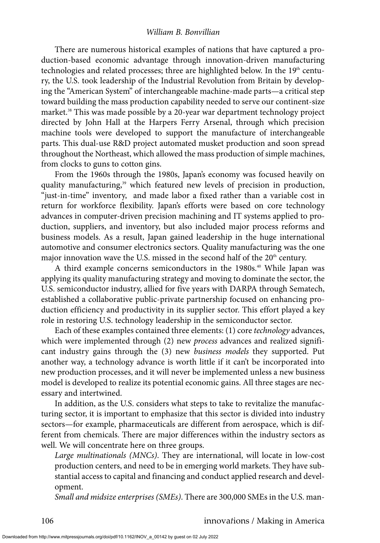There are numerous historical examples of nations that have captured a production-based economic advantage through innovation-driven manufacturing technologies and related processes; three are highlighted below. In the 19<sup>th</sup> century, the U.S. took leadership of the Industrial Revolution from Britain by developing the "American System" of interchangeable machine-made parts—a critical step toward building the mass production capability needed to serve our continent-size market.38 This was made possible by a 20-year war department technology project directed by John Hall at the Harpers Ferry Arsenal, through which precision machine tools were developed to support the manufacture of interchangeable parts. This dual-use R&D project automated musket production and soon spread throughout the Northeast, which allowed the mass production of simple machines, from clocks to guns to cotton gins.

From the 1960s through the 1980s, Japan's economy was focused heavily on quality manufacturing,<sup>39</sup> which featured new levels of precision in production, "just-in-time" inventory, and made labor a fixed rather than a variable cost in return for workforce flexibility. Japan's efforts were based on core technology advances in computer-driven precision machining and IT systems applied to production, suppliers, and inventory, but also included major process reforms and business models. As a result, Japan gained leadership in the huge international automotive and consumer electronics sectors. Quality manufacturing was the one major innovation wave the U.S. missed in the second half of the  $20<sup>th</sup>$  century.

A third example concerns semiconductors in the 1980s.<sup>40</sup> While Japan was applying its quality manufacturing strategy and moving to dominate the sector, the U.S. semiconductor industry, allied for five years with DARPA through Sematech, established a collaborative public-private partnership focused on enhancing production efficiency and productivity in its supplier sector. This effort played a key role in restoring U.S. technology leadership in the semiconductor sector.

Each of these examples contained three elements: (1) core *technology* advances, which were implemented through (2) new *process* advances and realized significant industry gains through the (3) new *business models* they supported. Put another way, a technology advance is worth little if it can't be incorporated into new production processes, and it will never be implemented unless a new business model is developed to realize its potential economic gains. All three stages are necessary and intertwined.

In addition, as the U.S. considers what steps to take to revitalize the manufacturing sector, it is important to emphasize that this sector is divided into industry sectors—for example, pharmaceuticals are different from aerospace, which is different from chemicals. There are major differences within the industry sectors as well. We will concentrate here on three groups.

*Large multinationals (MNCs)*. They are international, will locate in low-cost production centers, and need to be in emerging world markets. They have substantial access to capital and financing and conduct applied research and development.

*Small and midsize enterprises (SMEs)*. There are 300,000 SMEs in the U.S. man-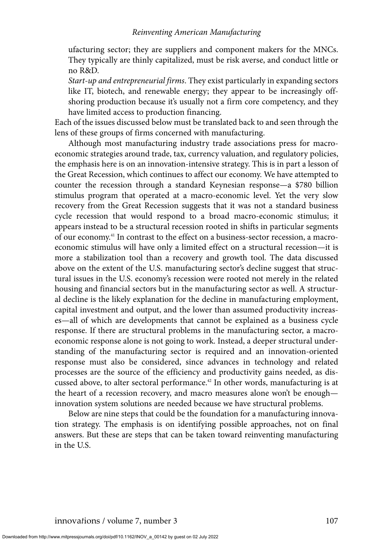ufacturing sector; they are suppliers and component makers for the MNCs. They typically are thinly capitalized, must be risk averse, and conduct little or no R&D.

*Start-up and entrepreneurial firms*. They exist particularly in expanding sectors like IT, biotech, and renewable energy; they appear to be increasingly offshoring production because it's usually not a firm core competency, and they have limited access to production financing.

Each of the issues discussed below must be translated back to and seen through the lens of these groups of firms concerned with manufacturing.

Although most manufacturing industry trade associations press for macroeconomic strategies around trade, tax, currency valuation, and regulatory policies, the emphasis here is on an innovation-intensive strategy. This is in part a lesson of the Great Recession, which continues to affect our economy. We have attempted to counter the recession through a standard Keynesian response—a \$780 billion stimulus program that operated at a macro-economic level. Yet the very slow recovery from the Great Recession suggests that it was not a standard business cycle recession that would respond to a broad macro-economic stimulus; it appears instead to be a structural recession rooted in shifts in particular segments of our economy.41 In contrast to the effect on a business-sector recession, a macroeconomic stimulus will have only a limited effect on a structural recession—it is more a stabilization tool than a recovery and growth tool. The data discussed above on the extent of the U.S. manufacturing sector's decline suggest that structural issues in the U.S. economy's recession were rooted not merely in the related housing and financial sectors but in the manufacturing sector as well. A structural decline is the likely explanation for the decline in manufacturing employment, capital investment and output, and the lower than assumed productivity increases—all of which are developments that cannot be explained as a business cycle response. If there are structural problems in the manufacturing sector, a macroeconomic response alone is not going to work. Instead, a deeper structural understanding of the manufacturing sector is required and an innovation-oriented response must also be considered, since advances in technology and related processes are the source of the efficiency and productivity gains needed, as discussed above, to alter sectoral performance.<sup>42</sup> In other words, manufacturing is at the heart of a recession recovery, and macro measures alone won't be enough innovation system solutions are needed because we have structural problems.

Below are nine steps that could be the foundation for a manufacturing innovation strategy. The emphasis is on identifying possible approaches, not on final answers. But these are steps that can be taken toward reinventing manufacturing in the U.S.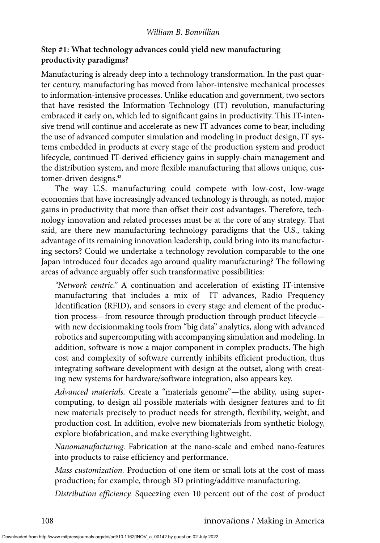# **Step #1: What technology advances could yield new manufacturing productivity paradigms?**

Manufacturing is already deep into a technology transformation. In the past quarter century, manufacturing has moved from labor-intensive mechanical processes to information-intensive processes. Unlike education and government, two sectors that have resisted the Information Technology (IT) revolution, manufacturing embraced it early on, which led to significant gains in productivity. This IT-intensive trend will continue and accelerate as new IT advances come to bear, including the use of advanced computer simulation and modeling in product design, IT systems embedded in products at every stage of the production system and product lifecycle, continued IT-derived efficiency gains in supply-chain management and the distribution system, and more flexible manufacturing that allows unique, customer-driven designs.<sup>43</sup>

The way U.S. manufacturing could compete with low-cost, low-wage economies that have increasingly advanced technology is through, as noted, major gains in productivity that more than offset their cost advantages. Therefore, technology innovation and related processes must be at the core of any strategy. That said, are there new manufacturing technology paradigms that the U.S., taking advantage of its remaining innovation leadership, could bring into its manufacturing sectors? Could we undertake a technology revolution comparable to the one Japan introduced four decades ago around quality manufacturing? The following areas of advance arguably offer such transformative possibilities:

*"Network centric."* A continuation and acceleration of existing IT-intensive manufacturing that includes a mix of IT advances, Radio Frequency Identification (RFID), and sensors in every stage and element of the production process—from resource through production through product lifecycle with new decisionmaking tools from "big data" analytics, along with advanced robotics and supercomputing with accompanying simulation and modeling. In addition, software is now a major component in complex products. The high cost and complexity of software currently inhibits efficient production, thus integrating software development with design at the outset, along with creating new systems for hardware/software integration, also appears key.

*Advanced materials.* Create a "materials genome"—the ability, using supercomputing, to design all possible materials with designer features and to fit new materials precisely to product needs for strength, flexibility, weight, and production cost. In addition, evolve new biomaterials from synthetic biology, explore biofabrication, and make everything lightweight.

*Nanomanufacturing.* Fabrication at the nano-scale and embed nano-features into products to raise efficiency and performance.

*Mass customization.* Production of one item or small lots at the cost of mass production; for example, through 3D printing/additive manufacturing.

*Distribution efficiency.* Squeezing even 10 percent out of the cost of product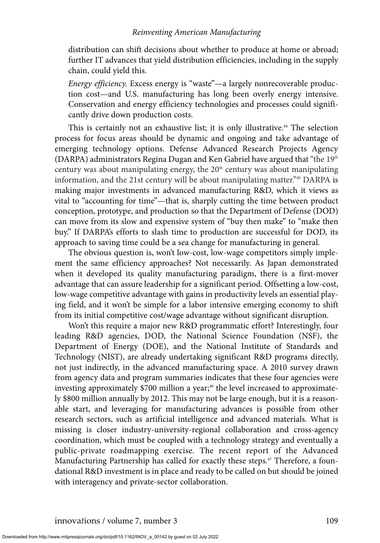distribution can shift decisions about whether to produce at home or abroad; further IT advances that yield distribution efficiencies, including in the supply chain, could yield this.

*Energy efficiency.* Excess energy is "waste"—a largely nonrecoverable production cost—and U.S. manufacturing has long been overly energy intensive. Conservation and energy efficiency technologies and processes could significantly drive down production costs.

This is certainly not an exhaustive list; it is only illustrative.<sup>44</sup> The selection process for focus areas should be dynamic and ongoing and take advantage of emerging technology options. Defense Advanced Research Projects Agency (DARPA) administrators Regina Dugan and Ken Gabriel have argued that "the  $19<sup>th</sup>$ century was about manipulating energy, the  $20<sup>th</sup>$  century was about manipulating information, and the 21st century will be about manipulating matter."45 DARPA is making major investments in advanced manufacturing R&D, which it views as vital to "accounting for time"—that is, sharply cutting the time between product conception, prototype, and production so that the Department of Defense (DOD) can move from its slow and expensive system of "buy then make" to "make then buy." If DARPA's efforts to slash time to production are successful for DOD, its approach to saving time could be a sea change for manufacturing in general.

The obvious question is, won't low-cost, low-wage competitors simply implement the same efficiency approaches? Not necessarily. As Japan demonstrated when it developed its quality manufacturing paradigm, there is a first-mover advantage that can assure leadership for a significant period. Offsetting a low-cost, low-wage competitive advantage with gains in productivity levels an essential playing field, and it won't be simple for a labor intensive emerging economy to shift from its initial competitive cost/wage advantage without significant disruption.

Won't this require a major new R&D programmatic effort? Interestingly, four leading R&D agencies, DOD, the National Science Foundation (NSF), the Department of Energy (DOE), and the National Institute of Standards and Technology (NIST), are already undertaking significant R&D programs directly, not just indirectly, in the advanced manufacturing space. A 2010 survey drawn from agency data and program summaries indicates that these four agencies were investing approximately  $$700$  million a year;<sup>46</sup> the level increased to approximately \$800 million annually by 2012. This may not be large enough, but it is a reasonable start, and leveraging for manufacturing advances is possible from other research sectors, such as artificial intelligence and advanced materials. What is missing is closer industry-university-regional collaboration and cross-agency coordination, which must be coupled with a technology strategy and eventually a public-private roadmapping exercise. The recent report of the Advanced Manufacturing Partnership has called for exactly these steps.<sup>47</sup> Therefore, a foundational R&D investment is in place and ready to be called on but should be joined with interagency and private-sector collaboration.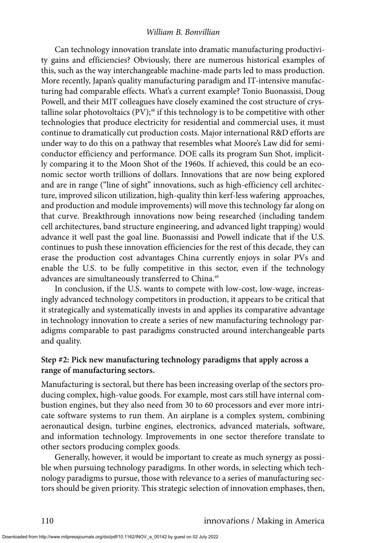Can technology innovation translate into dramatic manufacturing productivity gains and efficiencies? Obviously, there are numerous historical examples of this, such as the way interchangeable machine-made parts led to mass production. More recently, Japan's quality manufacturing paradigm and IT-intensive manufacturing had comparable effects. What's a current example? Tonio Buonassisi, Doug Powell, and their MIT colleagues have closely examined the cost structure of crystalline solar photovoltaics  $(PV);$ <sup>48</sup> if this technology is to be competitive with other technologies that produce electricity for residential and commercial uses, it must continue to dramatically cut production costs. Major international R&D efforts are under way to do this on a pathway that resembles what Moore's Law did for semiconductor efficiency and performance. DOE calls its program Sun Shot, implicitly comparing it to the Moon Shot of the 1960s. If achieved, this could be an economic sector worth trillions of dollars. Innovations that are now being explored and are in range ("line of sight" innovations, such as high-efficiency cell architecture, improved silicon utilization, high-quality thin kerf-less wafering approaches, and production and module improvements) will move this technology far along on that curve. Breakthrough innovations now being researched (including tandem cell architectures, band structure engineering, and advanced light trapping) would advance it well past the goal line. Buonassisi and Powell indicate that if the U.S. continues to push these innovation efficiencies for the rest of this decade, they can erase the production cost advantages China currently enjoys in solar PVs and enable the U.S. to be fully competitive in this sector, even if the technology advances are simultaneously transferred to China.<sup>49</sup>

In conclusion, if the U.S. wants to compete with low-cost, low-wage, increasingly advanced technology competitors in production, it appears to be critical that it strategically and systematically invests in and applies its comparative advantage in technology innovation to create a series of new manufacturing technology paradigms comparable to past paradigms constructed around interchangeable parts and quality.

# **Step #2: Pick new manufacturing technology paradigms that apply across a range of manufacturing sectors.**

Manufacturing is sectoral, but there has been increasing overlap of the sectors producing complex, high-value goods. For example, most cars still have internal combustion engines, but they also need from 30 to 60 processors and ever more intricate software systems to run them. An airplane is a complex system, combining aeronautical design, turbine engines, electronics, advanced materials, software, and information technology. Improvements in one sector therefore translate to other sectors producing complex goods.

Generally, however, it would be important to create as much synergy as possible when pursuing technology paradigms. In other words, in selecting which technology paradigms to pursue, those with relevance to a series of manufacturing sectors should be given priority. This strategic selection of innovation emphases, then,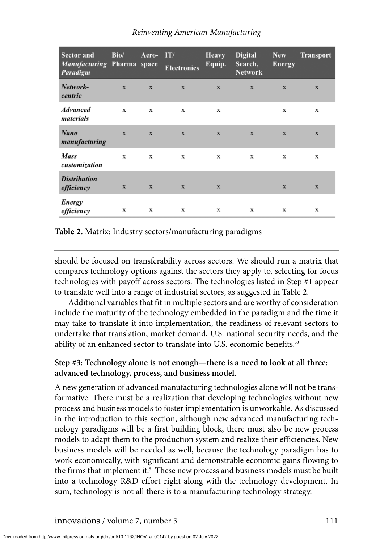| <b>Sector and</b><br>Manufacturing Pharma space<br>Paradigm | Bio/         | Aero-        | IT/<br><b>Electronics</b> | <b>Heavy</b><br>Equip. | <b>Digital</b><br>Search,<br><b>Network</b> | <b>New</b><br><b>Energy</b> | <b>Transport</b> |
|-------------------------------------------------------------|--------------|--------------|---------------------------|------------------------|---------------------------------------------|-----------------------------|------------------|
| Network-<br>centric                                         | X            | X            | $\mathbf x$               | $\mathbf x$            | $\mathbf x$                                 | $\mathbf x$                 | $\mathbf x$      |
| <b>Advanced</b><br>materials                                | $\mathbf x$  | X            | X                         | X                      |                                             | X                           | X                |
| Nano<br>manufacturing                                       | $\mathbf{x}$ | $\mathbf{x}$ | $\mathbf x$               | $\mathbf{x}$           | $\mathbf x$                                 | $\mathbf{x}$                | $\mathbf{x}$     |
| <b>Mass</b><br>customization                                | X            | X            | X                         | х                      | X                                           | X                           | X                |
| <b>Distribution</b><br>efficiency                           | $\mathbf x$  | $\mathbf X$  | $\mathbf x$               | $\mathbf X$            |                                             | $\mathbf x$                 | $\mathbf x$      |
| Energy<br>efficiency                                        | X            | х            | х                         | х                      | X                                           | X                           | X                |

**Table 2.** Matrix: Industry sectors/manufacturing paradigms

should be focused on transferability across sectors. We should run a matrix that compares technology options against the sectors they apply to, selecting for focus technologies with payoff across sectors. The technologies listed in Step #1 appear to translate well into a range of industrial sectors, as suggested in Table 2.

Additional variables that fit in multiple sectors and are worthy of consideration include the maturity of the technology embedded in the paradigm and the time it may take to translate it into implementation, the readiness of relevant sectors to undertake that translation, market demand, U.S. national security needs, and the ability of an enhanced sector to translate into U.S. economic benefits.<sup>50</sup>

# **Step #3: Technology alone is not enough—there is a need to look at all three: advanced technology, process, and business model.**

A new generation of advanced manufacturing technologies alone will not be transformative. There must be a realization that developing technologies without new process and business models to foster implementation is unworkable. As discussed in the introduction to this section, although new advanced manufacturing technology paradigms will be a first building block, there must also be new process models to adapt them to the production system and realize their efficiencies. New business models will be needed as well, because the technology paradigm has to work economically, with significant and demonstrable economic gains flowing to the firms that implement it.<sup>51</sup> These new process and business models must be built into a technology R&D effort right along with the technology development. In sum, technology is not all there is to a manufacturing technology strategy.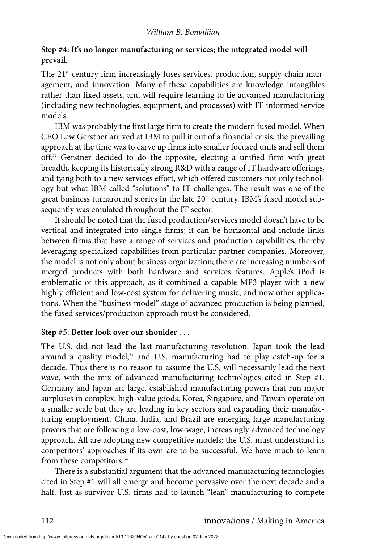# **Step #4: It's no longer manufacturing or services; the integrated model will prevail.**

The 21<sup>st</sup>-century firm increasingly fuses services, production, supply-chain management, and innovation. Many of these capabilities are knowledge intangibles rather than fixed assets, and will require learning to tie advanced manufacturing (including new technologies, equipment, and processes) with IT-informed service models.

IBM was probably the first large firm to create the modern fused model. When CEO Lew Gerstner arrived at IBM to pull it out of a financial crisis, the prevailing approach at the time was to carve up firms into smaller focused units and sell them off.52 Gerstner decided to do the opposite, electing a unified firm with great breadth, keeping its historically strong R&D with a range of IT hardware offerings, and tying both to a new services effort, which offered customers not only technology but what IBM called "solutions" to IT challenges. The result was one of the great business turnaround stories in the late 20<sup>th</sup> century. IBM's fused model subsequently was emulated throughout the IT sector.

It should be noted that the fused production/services model doesn't have to be vertical and integrated into single firms; it can be horizontal and include links between firms that have a range of services and production capabilities, thereby leveraging specialized capabilities from particular partner companies. Moreover, the model is not only about business organization; there are increasing numbers of merged products with both hardware and services features. Apple's iPod is emblematic of this approach, as it combined a capable MP3 player with a new highly efficient and low-cost system for delivering music, and now other applications. When the "business model" stage of advanced production is being planned, the fused services/production approach must be considered.

# **Step #5: Better look over our shoulder . . .**

The U.S. did not lead the last manufacturing revolution. Japan took the lead around a quality model,<sup>53</sup> and U.S. manufacturing had to play catch-up for a decade. Thus there is no reason to assume the U.S. will necessarily lead the next wave, with the mix of advanced manufacturing technologies cited in Step #1. Germany and Japan are large, established manufacturing powers that run major surpluses in complex, high-value goods. Korea, Singapore, and Taiwan operate on a smaller scale but they are leading in key sectors and expanding their manufacturing employment. China, India, and Brazil are emerging large manufacturing powers that are following a low-cost, low-wage, increasingly advanced technology approach. All are adopting new competitive models; the U.S. must understand its competitors' approaches if its own are to be successful. We have much to learn from these competitors.<sup>54</sup>

There is a substantial argument that the advanced manufacturing technologies cited in Step #1 will all emerge and become pervasive over the next decade and a half. Just as survivor U.S. firms had to launch "lean" manufacturing to compete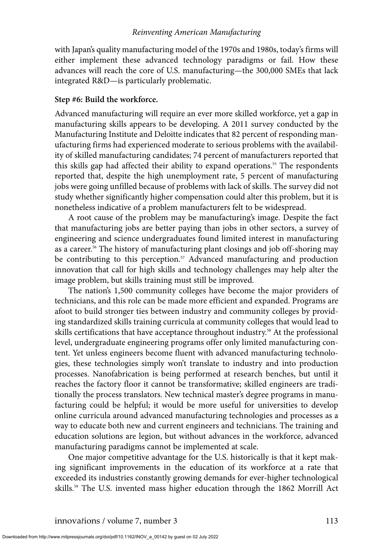with Japan's quality manufacturing model of the 1970s and 1980s, today's firms will either implement these advanced technology paradigms or fail. How these advances will reach the core of U.S. manufacturing—the 300,000 SMEs that lack integrated R&D—is particularly problematic.

#### **Step #6: Build the workforce.**

Advanced manufacturing will require an ever more skilled workforce, yet a gap in manufacturing skills appears to be developing. A 2011 survey conducted by the Manufacturing Institute and Deloitte indicates that 82 percent of responding manufacturing firms had experienced moderate to serious problems with the availability of skilled manufacturing candidates; 74 percent of manufacturers reported that this skills gap had affected their ability to expand operations.<sup>55</sup> The respondents reported that, despite the high unemployment rate, 5 percent of manufacturing jobs were going unfilled because of problems with lack of skills. The survey did not study whether significantly higher compensation could alter this problem, but it is nonetheless indicative of a problem manufacturers felt to be widespread.

A root cause of the problem may be manufacturing's image. Despite the fact that manufacturing jobs are better paying than jobs in other sectors, a survey of engineering and science undergraduates found limited interest in manufacturing as a career.<sup>56</sup> The history of manufacturing plant closings and job off-shoring may be contributing to this perception.<sup>57</sup> Advanced manufacturing and production innovation that call for high skills and technology challenges may help alter the image problem, but skills training must still be improved.

The nation's 1,500 community colleges have become the major providers of technicians, and this role can be made more efficient and expanded. Programs are afoot to build stronger ties between industry and community colleges by providing standardized skills training curricula at community colleges that would lead to skills certifications that have acceptance throughout industry.<sup>58</sup> At the professional level, undergraduate engineering programs offer only limited manufacturing content. Yet unless engineers become fluent with advanced manufacturing technologies, these technologies simply won't translate to industry and into production processes. Nanofabrication is being performed at research benches, but until it reaches the factory floor it cannot be transformative; skilled engineers are traditionally the process translators. New technical master's degree programs in manufacturing could be helpful; it would be more useful for universities to develop online curricula around advanced manufacturing technologies and processes as a way to educate both new and current engineers and technicians. The training and education solutions are legion, but without advances in the workforce, advanced manufacturing paradigms cannot be implemented at scale.

One major competitive advantage for the U.S. historically is that it kept making significant improvements in the education of its workforce at a rate that exceeded its industries constantly growing demands for ever-higher technological skills.59 The U.S. invented mass higher education through the 1862 Morrill Act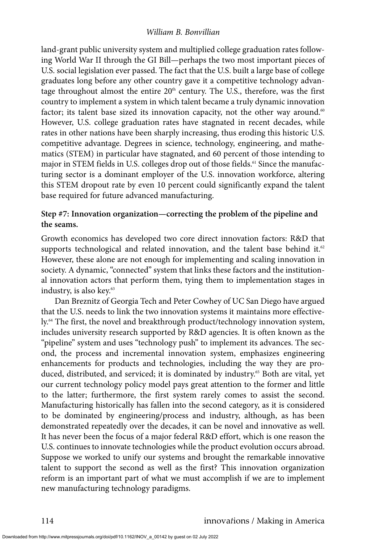land-grant public university system and multiplied college graduation rates following World War II through the GI Bill—perhaps the two most important pieces of U.S. social legislation ever passed. The fact that the U.S. built a large base of college graduates long before any other country gave it a competitive technology advantage throughout almost the entire 20<sup>th</sup> century. The U.S., therefore, was the first country to implement a system in which talent became a truly dynamic innovation factor; its talent base sized its innovation capacity, not the other way around.<sup>60</sup> However, U.S. college graduation rates have stagnated in recent decades, while rates in other nations have been sharply increasing, thus eroding this historic U.S. competitive advantage. Degrees in science, technology, engineering, and mathematics (STEM) in particular have stagnated, and 60 percent of those intending to major in STEM fields in U.S. colleges drop out of those fields.<sup>61</sup> Since the manufacturing sector is a dominant employer of the U.S. innovation workforce, altering this STEM dropout rate by even 10 percent could significantly expand the talent base required for future advanced manufacturing.

# **Step #7: Innovation organization—correcting the problem of the pipeline and the seams.**

Growth economics has developed two core direct innovation factors: R&D that supports technological and related innovation, and the talent base behind it.<sup>62</sup> However, these alone are not enough for implementing and scaling innovation in society. A dynamic, "connected" system that links these factors and the institutional innovation actors that perform them, tying them to implementation stages in industry, is also key.<sup>63</sup>

Dan Breznitz of Georgia Tech and Peter Cowhey of UC San Diego have argued that the U.S. needs to link the two innovation systems it maintains more effectively.<sup>64</sup> The first, the novel and breakthrough product/technology innovation system, includes university research supported by R&D agencies. It is often known as the "pipeline" system and uses "technology push" to implement its advances. The second, the process and incremental innovation system, emphasizes engineering enhancements for products and technologies, including the way they are produced, distributed, and serviced; it is dominated by industry.<sup>65</sup> Both are vital, yet our current technology policy model pays great attention to the former and little to the latter; furthermore, the first system rarely comes to assist the second. Manufacturing historically has fallen into the second category, as it is considered to be dominated by engineering/process and industry, although, as has been demonstrated repeatedly over the decades, it can be novel and innovative as well. It has never been the focus of a major federal R&D effort, which is one reason the U.S. continues to innovate technologies while the product evolution occurs abroad. Suppose we worked to unify our systems and brought the remarkable innovative talent to support the second as well as the first? This innovation organization reform is an important part of what we must accomplish if we are to implement new manufacturing technology paradigms.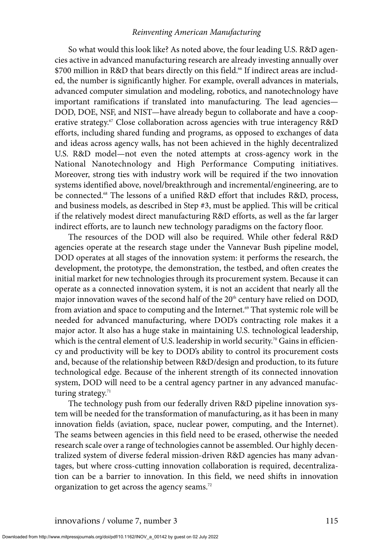So what would this look like? As noted above, the four leading U.S. R&D agencies active in advanced manufacturing research are already investing annually over \$700 million in R&D that bears directly on this field.<sup>66</sup> If indirect areas are included, the number is significantly higher. For example, overall advances in materials, advanced computer simulation and modeling, robotics, and nanotechnology have important ramifications if translated into manufacturing. The lead agencies— DOD, DOE, NSF, and NIST—have already begun to collaborate and have a cooperative strategy.<sup>67</sup> Close collaboration across agencies with true interagency R&D efforts, including shared funding and programs, as opposed to exchanges of data and ideas across agency walls, has not been achieved in the highly decentralized U.S. R&D model—not even the noted attempts at cross-agency work in the National Nanotechnology and High Performance Computing initiatives. Moreover, strong ties with industry work will be required if the two innovation systems identified above, novel/breakthrough and incremental/engineering, are to be connected.<sup>68</sup> The lessons of a unified R&D effort that includes R&D, process, and business models, as described in Step #3, must be applied. This will be critical if the relatively modest direct manufacturing R&D efforts, as well as the far larger indirect efforts, are to launch new technology paradigms on the factory floor.

The resources of the DOD will also be required. While other federal R&D agencies operate at the research stage under the Vannevar Bush pipeline model, DOD operates at all stages of the innovation system: it performs the research, the development, the prototype, the demonstration, the testbed, and often creates the initial market for new technologies through its procurement system. Because it can operate as a connected innovation system, it is not an accident that nearly all the major innovation waves of the second half of the  $20<sup>th</sup>$  century have relied on DOD, from aviation and space to computing and the Internet.<sup>69</sup> That systemic role will be needed for advanced manufacturing, where DOD's contracting role makes it a major actor. It also has a huge stake in maintaining U.S. technological leadership, which is the central element of U.S. leadership in world security.<sup>70</sup> Gains in efficiency and productivity will be key to DOD's ability to control its procurement costs and, because of the relationship between R&D/design and production, to its future technological edge. Because of the inherent strength of its connected innovation system, DOD will need to be a central agency partner in any advanced manufacturing strategy. $71$ 

The technology push from our federally driven R&D pipeline innovation system will be needed for the transformation of manufacturing, as it has been in many innovation fields (aviation, space, nuclear power, computing, and the Internet). The seams between agencies in this field need to be erased, otherwise the needed research scale over a range of technologies cannot be assembled. Our highly decentralized system of diverse federal mission-driven R&D agencies has many advantages, but where cross-cutting innovation collaboration is required, decentralization can be a barrier to innovation. In this field, we need shifts in innovation organization to get across the agency seams.<sup>72</sup>

innova*t*ions / volume 7, number 3 115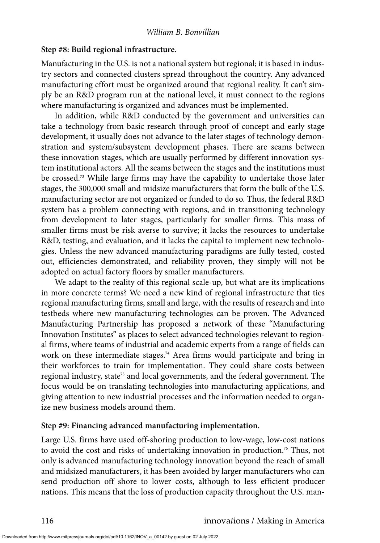## **Step #8: Build regional infrastructure.**

Manufacturing in the U.S. is not a national system but regional; it is based in industry sectors and connected clusters spread throughout the country. Any advanced manufacturing effort must be organized around that regional reality. It can't simply be an R&D program run at the national level, it must connect to the regions where manufacturing is organized and advances must be implemented.

In addition, while R&D conducted by the government and universities can take a technology from basic research through proof of concept and early stage development, it usually does not advance to the later stages of technology demonstration and system/subsystem development phases. There are seams between these innovation stages, which are usually performed by different innovation system institutional actors. All the seams between the stages and the institutions must be crossed.<sup>73</sup> While large firms may have the capability to undertake those later stages, the 300,000 small and midsize manufacturers that form the bulk of the U.S. manufacturing sector are not organized or funded to do so. Thus, the federal R&D system has a problem connecting with regions, and in transitioning technology from development to later stages, particularly for smaller firms. This mass of smaller firms must be risk averse to survive; it lacks the resources to undertake R&D, testing, and evaluation, and it lacks the capital to implement new technologies. Unless the new advanced manufacturing paradigms are fully tested, costed out, efficiencies demonstrated, and reliability proven, they simply will not be adopted on actual factory floors by smaller manufacturers.

We adapt to the reality of this regional scale-up, but what are its implications in more concrete terms? We need a new kind of regional infrastructure that ties regional manufacturing firms, small and large, with the results of research and into testbeds where new manufacturing technologies can be proven. The Advanced Manufacturing Partnership has proposed a network of these "Manufacturing Innovation Institutes" as places to select advanced technologies relevant to regional firms, where teams of industrial and academic experts from a range of fields can work on these intermediate stages.<sup>74</sup> Area firms would participate and bring in their workforces to train for implementation. They could share costs between regional industry, state<sup>75</sup> and local governments, and the federal government. The focus would be on translating technologies into manufacturing applications, and giving attention to new industrial processes and the information needed to organize new business models around them.

## **Step #9: Financing advanced manufacturing implementation.**

Large U.S. firms have used off-shoring production to low-wage, low-cost nations to avoid the cost and risks of undertaking innovation in production.76 Thus, not only is advanced manufacturing technology innovation beyond the reach of small and midsized manufacturers, it has been avoided by larger manufacturers who can send production off shore to lower costs, although to less efficient producer nations. This means that the loss of production capacity throughout the U.S. man-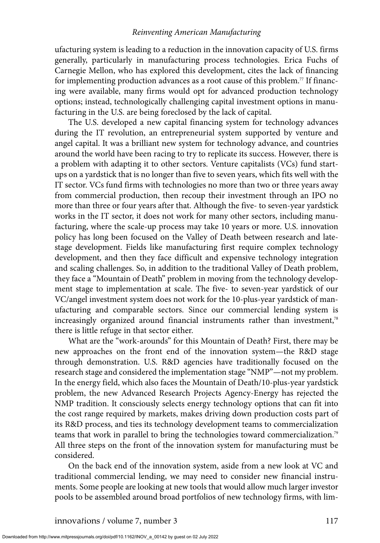ufacturing system is leading to a reduction in the innovation capacity of U.S. firms generally, particularly in manufacturing process technologies. Erica Fuchs of Carnegie Mellon, who has explored this development, cites the lack of financing for implementing production advances as a root cause of this problem.<sup>77</sup> If financing were available, many firms would opt for advanced production technology options; instead, technologically challenging capital investment options in manufacturing in the U.S. are being foreclosed by the lack of capital.

The U.S. developed a new capital financing system for technology advances during the IT revolution, an entrepreneurial system supported by venture and angel capital. It was a brilliant new system for technology advance, and countries around the world have been racing to try to replicate its success. However, there is a problem with adapting it to other sectors. Venture capitalists (VCs) fund startups on a yardstick that is no longer than five to seven years, which fits well with the IT sector. VCs fund firms with technologies no more than two or three years away from commercial production, then recoup their investment through an IPO no more than three or four years after that. Although the five- to seven-year yardstick works in the IT sector, it does not work for many other sectors, including manufacturing, where the scale-up process may take 10 years or more. U.S. innovation policy has long been focused on the Valley of Death between research and latestage development. Fields like manufacturing first require complex technology development, and then they face difficult and expensive technology integration and scaling challenges. So, in addition to the traditional Valley of Death problem, they face a "Mountain of Death" problem in moving from the technology development stage to implementation at scale. The five- to seven-year yardstick of our VC/angel investment system does not work for the 10-plus-year yardstick of manufacturing and comparable sectors. Since our commercial lending system is increasingly organized around financial instruments rather than investment, $7<sup>8</sup>$ there is little refuge in that sector either.

What are the "work-arounds" for this Mountain of Death? First, there may be new approaches on the front end of the innovation system—the R&D stage through demonstration. U.S. R&D agencies have traditionally focused on the research stage and considered the implementation stage "NMP"—not my problem. In the energy field, which also faces the Mountain of Death/10-plus-year yardstick problem, the new Advanced Research Projects Agency-Energy has rejected the NMP tradition. It consciously selects energy technology options that can fit into the cost range required by markets, makes driving down production costs part of its R&D process, and ties its technology development teams to commercialization teams that work in parallel to bring the technologies toward commercialization.<sup>79</sup> All three steps on the front of the innovation system for manufacturing must be considered.

On the back end of the innovation system, aside from a new look at VC and traditional commercial lending, we may need to consider new financial instruments. Some people are looking at new tools that would allow much larger investor pools to be assembled around broad portfolios of new technology firms, with lim-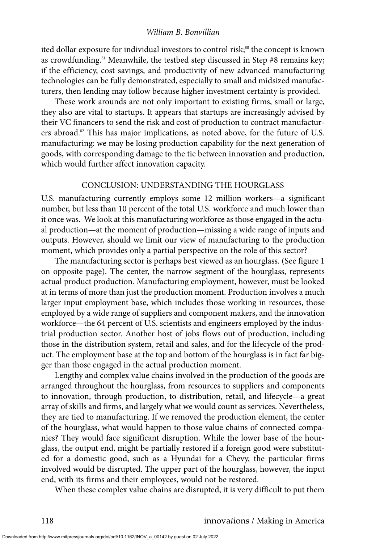ited dollar exposure for individual investors to control risk;<sup>80</sup> the concept is known as crowdfunding.<sup>81</sup> Meanwhile, the testbed step discussed in Step #8 remains key; if the efficiency, cost savings, and productivity of new advanced manufacturing technologies can be fully demonstrated, especially to small and midsized manufacturers, then lending may follow because higher investment certainty is provided.

These work arounds are not only important to existing firms, small or large, they also are vital to startups. It appears that startups are increasingly advised by their VC financers to send the risk and cost of production to contract manufacturers abroad.<sup>82</sup> This has major implications, as noted above, for the future of U.S. manufacturing: we may be losing production capability for the next generation of goods, with corresponding damage to the tie between innovation and production, which would further affect innovation capacity.

#### CONCLUSION: UNDERSTANDING THE HOURGLASS

U.S. manufacturing currently employs some 12 million workers—a significant number, but less than 10 percent of the total U.S. workforce and much lower than it once was. We look at this manufacturing workforce as those engaged in the actual production—at the moment of production—missing a wide range of inputs and outputs. However, should we limit our view of manufacturing to the production moment, which provides only a partial perspective on the role of this sector?

The manufacturing sector is perhaps best viewed as an hourglass. (See figure 1 on opposite page). The center, the narrow segment of the hourglass, represents actual product production. Manufacturing employment, however, must be looked at in terms of more than just the production moment. Production involves a much larger input employment base, which includes those working in resources, those employed by a wide range of suppliers and component makers, and the innovation workforce—the 64 percent of U.S. scientists and engineers employed by the industrial production sector. Another host of jobs flows out of production, including those in the distribution system, retail and sales, and for the lifecycle of the product. The employment base at the top and bottom of the hourglass is in fact far bigger than those engaged in the actual production moment.

Lengthy and complex value chains involved in the production of the goods are arranged throughout the hourglass, from resources to suppliers and components to innovation, through production, to distribution, retail, and lifecycle—a great array of skills and firms, and largely what we would count as services. Nevertheless, they are tied to manufacturing. If we removed the production element, the center of the hourglass, what would happen to those value chains of connected companies? They would face significant disruption. While the lower base of the hourglass, the output end, might be partially restored if a foreign good were substituted for a domestic good, such as a Hyundai for a Chevy, the particular firms involved would be disrupted. The upper part of the hourglass, however, the input end, with its firms and their employees, would not be restored.

When these complex value chains are disrupted, it is very difficult to put them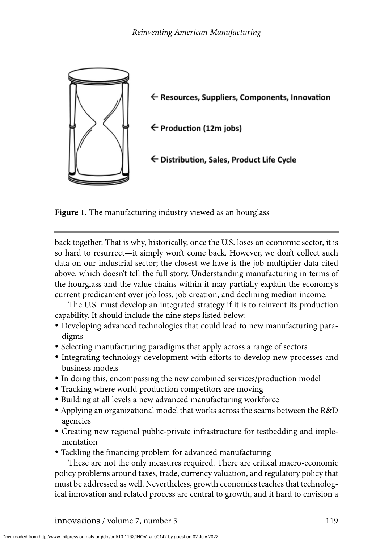

**Figure 1.** The manufacturing industry viewed as an hourglass

back together. That is why, historically, once the U.S. loses an economic sector, it is so hard to resurrect—it simply won't come back. However, we don't collect such data on our industrial sector; the closest we have is the job multiplier data cited above, which doesn't tell the full story. Understanding manufacturing in terms of the hourglass and the value chains within it may partially explain the economy's current predicament over job loss, job creation, and declining median income.

The U.S. must develop an integrated strategy if it is to reinvent its production capability. It should include the nine steps listed below:

- -Developing advanced technologies that could lead to new manufacturing paradigms
- -Selecting manufacturing paradigms that apply across a range of sectors
- -Integrating technology development with efforts to develop new processes and business models
- -In doing this, encompassing the new combined services/production model
- -Tracking where world production competitors are moving
- -Building at all levels a new advanced manufacturing workforce
- -Applying an organizational model that works across the seams between the R&D agencies
- -Creating new regional public-private infrastructure for testbedding and implementation
- -Tackling the financing problem for advanced manufacturing

These are not the only measures required. There are critical macro-economic policy problems around taxes, trade, currency valuation, and regulatory policy that must be addressed as well. Nevertheless, growth economics teaches that technological innovation and related process are central to growth, and it hard to envision a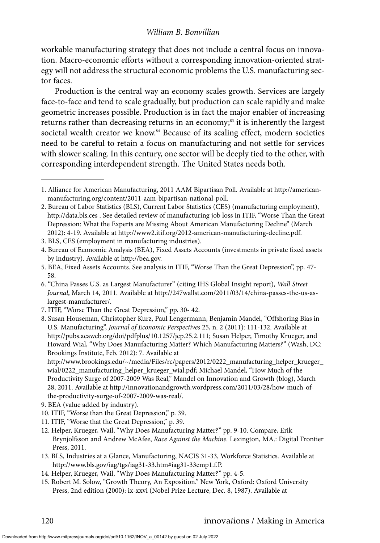workable manufacturing strategy that does not include a central focus on innovation. Macro-economic efforts without a corresponding innovation-oriented strategy will not address the structural economic problems the U.S. manufacturing sector faces.

Production is the central way an economy scales growth. Services are largely face-to-face and tend to scale gradually, but production can scale rapidly and make geometric increases possible. Production is in fact the major enabler of increasing returns rather than decreasing returns in an economy;<sup>83</sup> it is inherently the largest societal wealth creator we know.<sup>84</sup> Because of its scaling effect, modern societies need to be careful to retain a focus on manufacturing and not settle for services with slower scaling. In this century, one sector will be deeply tied to the other, with corresponding interdependent strength. The United States needs both.

http://www.brookings.edu/~/media/Files/rc/papers/2012/0222\_manufacturing\_helper\_krueger\_ wial/0222\_manufacturing\_helper\_krueger\_wial.pdf; Michael Mandel, "How Much of the Productivity Surge of 2007-2009 Was Real," Mandel on Innovation and Growth (blog), March 28, 2011. Available at http://innovationandgrowth.wordpress.com/2011/03/28/how-much-ofthe-productivity-surge-of-2007-2009-was-real/.

- 9. BEA (value added by industry).
- 10. ITIF, "Worse than the Great Depression," p. 39.
- 11. ITIF, "Worse that the Great Depression," p. 39.
- 12. Helper, Krueger, Wail, "Why Does Manufacturing Matter?" pp. 9-10. Compare, Erik Brynjolfsson and Andrew McAfee, *Race Against the Machine.* Lexington, MA.: Digital Frontier Press, 2011.
- 13. BLS, Industries at a Glance, Manufacturing, NACIS 31-33, Workforce Statistics. Available at http://www.bls.gov/iag/tgs/iag31-33.htm#iag31-33emp1.f.P.
- 14. Helper, Krueger, Wail, "Why Does Manufacturing Matter?" pp. 4-5.
- 15. Robert M. Solow, "Growth Theory, An Exposition." New York, Oxford: Oxford University Press, 2nd edition (2000): ix-xxvi (Nobel Prize Lecture, Dec. 8, 1987). Available at

<sup>1.</sup> Alliance for American Manufacturing, 2011 AAM Bipartisan Poll. Available at http://americanmanufacturing.org/content/2011-aam-bipartisan-national-poll.

<sup>2.</sup> Bureau of Labor Statistics (BLS), Current Labor Statistics (CES) (manufacturing employment), http://data.bls.ces . See detailed review of manufacturing job loss in ITIF, "Worse Than the Great Depression: What the Experts are Missing About American Manufacturing Decline" (March 2012): 4-19. Available at http://www2.itif.org/2012-american-manufacturing-decline.pdf.

<sup>3.</sup> BLS, CES (employment in manufacturing industries).

<sup>4.</sup> Bureau of Economic Analysis (BEA), Fixed Assets Accounts (investments in private fixed assets by industry). Available at http://bea.gov.

<sup>5.</sup> BEA, Fixed Assets Accounts. See analysis in ITIF, "Worse Than the Great Depression", pp. 47- 58.

<sup>6. &</sup>quot;China Passes U.S. as Largest Manufacturer" (citing IHS Global Insight report), *Wall Street Journal*, March 14, 2011. Available at http://247wallst.com/2011/03/14/china-passes-the-us-aslargest-manufacturer/.

<sup>7.</sup> ITIF, "Worse Than the Great Depression," pp. 30- 42.

<sup>8.</sup> Susan Houseman, Christopher Kurz, Paul Lengermann, Benjamin Mandel, "Offshoring Bias in U.S. Manufacturing", *Journal of Economic Perspectives* 25, n. 2 (2011): 111-132. Available at http://pubs.aeaweb.org/doi/pdfplus/10.1257/jep.25.2.111; Susan Helper, Timothy Krueger, and Howard Wial, "Why Does Manufacturing Matter? Which Manufacturing Matters?" (Wash, DC: Brookings Institute, Feb. 2012): 7. Available at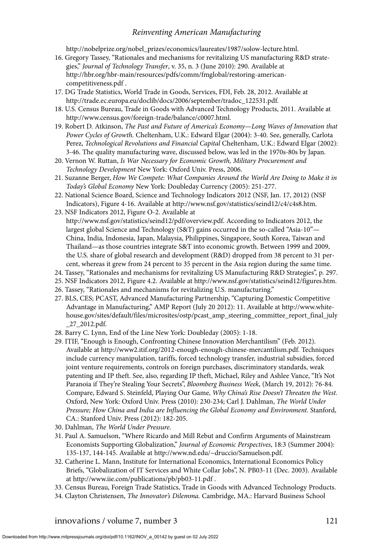http://nobelprize.org/nobel\_prizes/economics/laureates/1987/solow-lecture.html.

- 16. Gregory Tassey, "Rationales and mechanisms for revitalizing US manufacturing R&D strategies," *Journal of Technology Transfer*, v. 35, n. 3 (June 2010): 290. Available at http://hbr.org/hbr-main/resources/pdfs/comm/fmglobal/restoring-americancompetitiveness.pdf .
- 17. DG Trade Statistics, World Trade in Goods, Services, FDI, Feb. 28, 2012. Available at http://trade.ec.europa.eu/doclib/docs/2006/september/tradoc\_122531.pdf.
- 18. U.S. Census Bureau, Trade in Goods with Advanced Technology Products, 2011. Available at http://www.census.gov/foreign-trade/balance/c0007.html.
- 19. Robert D. Atkinson, *The Past and Future of America's Economy—Long Waves of Innovation that Power Cycles of Growth.* Cheltenham, U.K.: Edward Elgar (2004): 3-40. See, generally, Carlota Perez, *Technological Revolutions and Financial Capital* Cheltenham, U.K.: Edward Elgar (2002): 3-46. The quality manufacturing wave, discussed below, was led in the 1970s-80s by Japan.
- 20. Vernon W. Ruttan, *Is War Necessary for Economic Growth, Military Procurement and Technology Development* New York: Oxford Univ. Press, 2006.
- 21. Suzanne Berger, *How We Compete: What Companies Around the World Are Doing to Make it in Today's Global Economy* New York: Doubleday Currency (2005): 251-277.
- 22. National Science Board, Science and Technology Indicators 2012 (NSF, Jan. 17, 2012) (NSF Indicators), Figure 4-16. Available at http://www.nsf.gov/statistics/seind12/c4/c4s8.htm.
- 23. NSF Indicators 2012, Figure O-2. Available at http://www.nsf.gov/statistics/seind12/pdf/overview.pdf. According to Indicators 2012, the largest global Science and Technology (S&T) gains occurred in the so-called "Asia-10"— China, India, Indonesia, Japan, Malaysia, Philippines, Singapore, South Korea, Taiwan and Thailand—as those countries integrate S&T into economic growth. Between 1999 and 2009, the U.S. share of global research and development (R&D) dropped from 38 percent to 31 percent, whereas it grew from 24 percent to 35 percent in the Asia region during the same time.
- 24. Tassey, "Rationales and mechanisms for revitalizing US Manufacturing R&D Strategies", p. 297.
- 25. NSF Indicators 2012, Figure 4.2. Available at http://www.nsf.gov/statistics/seind12/figures.htm.
- 26. Tassey, "Rationales and mechanisms for revitalizing U.S. manufacturing."
- 27. BLS, CES; PCAST, Advanced Manufacturing Partnership, "Capturing Domestic Competitive Advantage in Manufacturing," AMP Report (July 20 2012): 11. Available at http://www.whitehouse.gov/sites/default/files/microsites/ostp/pcast\_amp\_steering\_committee\_report\_final\_july \_27\_2012.pdf.
- 28. Barry C. Lynn, End of the Line New York: Doubleday (2005): 1-18.
- 29. ITIF, "Enough is Enough, Confronting Chinese Innovation Merchantilism" (Feb. 2012). Available at http://www2.itif.org/2012-enough-enough-chinese-mercantilism.pdf. Techniques include currency manipulation, tariffs, forced technology transfer, industrial subsidies, forced joint venture requirements, controls on foreign purchases, discriminatory standards, weak patenting and IP theft. See, also, regarding IP theft, Michael, Riley and Ashlee Vance, "It's Not Paranoia if They're Stealing Your Secrets", *Bloomberg Business Week*, (March 19, 2012): 76-84. Compare, Edward S. Steinfeld, Playing Our Game, *Why China's Rise Doesn't Threaten the West.* Oxford, New York: Oxford Univ. Press (2010): 230-234; Carl J. Dahlman, *The World Under Pressure; How China and India are Influencing the Global Economy and Environment.* Stanford, CA.: Stanford Univ. Press (2012): 182-205.
- 30. Dahlman, *The World Under Pressure*.
- 31. Paul A. Samuelson, "Where Ricardo and Mill Rebut and Confirm Arguments of Mainstream Economists Supporting Globalization," *Journal of Economic Perspectives*, 18:3 (Summer 2004): 135-137, 144-145. Available at http://www.nd.edu/~druccio/Samuelson.pdf.
- 32. Catherine L. Mann, Institute for International Economics, International Economics Policy Briefs, "Globalization of IT Services and White Collar Jobs", N. PB03-11 (Dec. 2003). Available at http://www.iie.com/publications/pb/pb03-11.pdf .
- 33. Census Bureau, Foreign Trade Statistics, Trade in Goods with Advanced Technology Products.
- 34. Clayton Christensen, *The Innovator's Dilemma.* Cambridge, MA.: Harvard Business School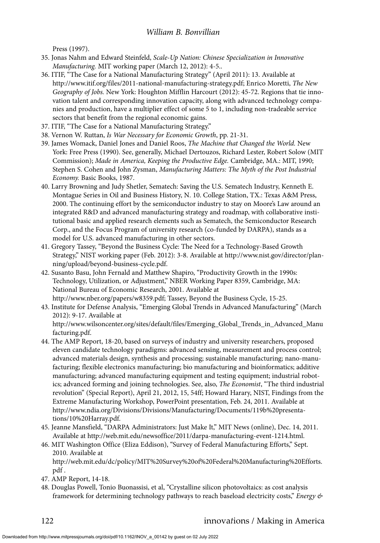Press (1997).

- 35. Jonas Nahm and Edward Steinfeld, *Scale-Up Nation: Chinese Specialization in Innovative Manufacturing.* MIT working paper (March 12, 2012): 4-5..
- 36. ITIF, "The Case for a National Manufacturing Strategy" (April 2011): 13. Available at http://www.itif.org/files/2011-national-manufacturing-strategy.pdf; Enrico Moretti, *The New Geography of Jobs.* New York: Houghton Mifflin Harcourt (2012): 45-72. Regions that tie innovation talent and corresponding innovation capacity, along with advanced technology companies and production, have a multiplier effect of some 5 to 1, including non-tradeable service sectors that benefit from the regional economic gains.
- 37. ITIF, "The Case for a National Manufacturing Strategy."
- 38. Vernon W. Ruttan, *Is War Necessary for Economic Growth*, pp. 21-31.
- 39. James Womack, Daniel Jones and Daniel Roos, *The Machine that Changed the World.* New York: Free Press (1990). See, generally, Michael Dertouzos, Richard Lester, Robert Solow (MIT Commission); *Made in America, Keeping the Productive Edge.* Cambridge, MA.: MIT, 1990; Stephen S. Cohen and John Zysman, *Manufacturing Matters: The Myth of the Post Industrial Economy.* Basic Books, 1987.
- 40. Larry Browning and Judy Shetler, Sematech: Saving the U.S. Sematech Industry, Kenneth E. Montague Series in Oil and Business History, N. 10. College Station, TX.: Texas A&M Press, 2000. The continuing effort by the semiconductor industry to stay on Moore's Law around an integrated R&D and advanced manufacturing strategy and roadmap, with collaborative institutional basic and applied research elements such as Sematech, the Semiconductor Research Corp., and the Focus Program of university research (co-funded by DARPA), stands as a model for U.S. advanced manufacturing in other sectors.
- 41. Gregory Tassey, "Beyond the Business Cycle: The Need for a Technology-Based Growth Strategy," NIST working paper (Feb. 2012): 3-8. Available at http://www.nist.gov/director/planning/upload/beyond-business-cycle.pdf.
- 42. Susanto Basu, John Fernald and Matthew Shapiro, "Productivity Growth in the 1990s: Technology, Utilization, or Adjustment," NBER Working Paper 8359, Cambridge, MA: National Bureau of Economic Research, 2001. Available at http://www.nber.org/papers/w8359.pdf; Tassey, Beyond the Business Cycle, 15-25.
- 43. Institute for Defense Analysis, "Emerging Global Trends in Advanced Manufacturing" (March 2012): 9-17. Available at http://www.wilsoncenter.org/sites/default/files/Emerging\_Global\_Trends\_in\_Advanced\_Manu facturing.pdf.
- 44. The AMP Report, 18-20, based on surveys of industry and university researchers, proposed eleven candidate technology paradigms: advanced sensing, measurement and process control; advanced materials design, synthesis and processing; sustainable manufacturing; nano-manufacturing; flexible electronics manufacturing; bio manufacturing and bioinformatics; additive manufacturing; advanced manufacturing equipment and testing equipment; industrial robotics; advanced forming and joining technologies. See, also, *The Economist*, "The third industrial revolution" (Special Report), April 21, 2012, 15, 54ff; Howard Harary, NIST, Findings from the Extreme Manufacturing Workshop, PowerPoint presentation, Feb. 24, 2011. Available at http://www.ndia.org/Divisions/Divisions/Manufacturing/Documents/119b%20presentations/10%20Harray.pdf.
- 45. Jeanne Mansfield, "DARPA Administrators: Just Make It," MIT News (online), Dec. 14, 2011. Available at http://web.mit.edu/newsoffice/2011/darpa-manufacturing-event-1214.html.
- 46. MIT Washington Office (Eliza Eddison), "Survey of Federal Manufacturing Efforts," Sept. 2010. Available at

http://web.mit.edu/dc/policy/MIT%20Survey%20of%20Federal%20Manufacturing%20Efforts. pdf .

- 47. AMP Report, 14-18.
- 48. Douglas Powell, Tonio Buonassisi, et al, "Crystalline silicon photovoltaics: as cost analysis framework for determining technology pathways to reach baseload electricity costs," *Energy &*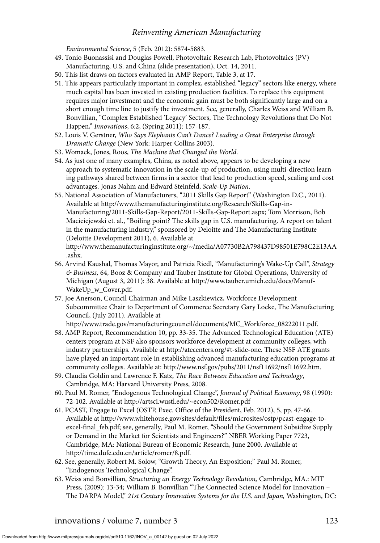*Environmental Science*, 5 (Feb. 2012): 5874-5883.

- 49. Tonio Buonassisi and Douglas Powell, Photovoltaic Research Lab, Photovoltaics (PV) Manufacturing, U.S. and China (slide presentation), Oct. 14, 2011.
- 50. This list draws on factors evaluated in AMP Report, Table 3, at 17.
- 51. This appears particularly important in complex, established "legacy" sectors like energy, where much capital has been invested in existing production facilities. To replace this equipment requires major investment and the economic gain must be both significantly large and on a short enough time line to justify the investment. See, generally, Charles Weiss and William B. Bonvillian, "Complex Established 'Legacy' Sectors, The Technology Revolutions that Do Not Happen," *Innovations*, 6:2, (Spring 2011): 157-187.
- 52. Louis V. Gerstner, *Who Says Elephants Can't Dance? Leading a Great Enterprise through Dramatic Change* (New York: Harper Collins 2003).
- 53. Womack, Jones, Roos, *The Machine that Changed the World*.
- 54. As just one of many examples, China, as noted above, appears to be developing a new approach to systematic innovation in the scale-up of production, using multi-direction learning pathways shared between firms in a sector that lead to production speed, scaling and cost advantages. Jonas Nahm and Edward Steinfeld, *Scale-Up Nation*.
- 55. National Association of Manufacturers, "2011 Skills Gap Report" (Washington D.C., 2011). Available at http://www.themanufacturinginstitute.org/Research/Skills-Gap-in-Manufacturing/2011-Skills-Gap-Report/2011-Skills-Gap-Report.aspx; Tom Morrison, Bob Macieiejewski et. al., "Boiling point? The skills gap in U.S. manufacturing. A report on talent in the manufacturing industry," sponsored by Deloitte and The Manufacturing Institute (Deloitte Development 2011), 6. Available at http://www.themanufacturinginstitute.org/~/media/A07730B2A798437D98501E798C2E13AA

.ashx.

- 56. Arvind Kaushal, Thomas Mayor, and Patricia Riedl, "Manufacturing's Wake-Up Call", *Strategy & Business,* 64, Booz & Company and Tauber Institute for Global Operations, University of Michigan (August 3, 2011): 38. Available at http://www.tauber.umich.edu/docs/Manuf-WakeUp\_w\_Cover.pdf.
- 57. Joe Anerson, Council Chairman and Mike Laszkiewicz, Workforce Development Subcommittee Chair to Department of Commerce Secretary Gary Locke, The Manufacturing Council, (July 2011). Available at

http://www.trade.gov/manufacturingcouncil/documents/MC\_Workforce\_08222011.pdf.

- 58. AMP Report, Recommendation 10, pp. 33-35. The Advanced Technological Education (ATE) centers program at NSF also sponsors workforce development at community colleges, with industry partnerships. Available at http://atecenters.org/#t-slide-one. These NSF ATE grants have played an important role in establishing advanced manufacturing education programs at community colleges. Available at: http://www.nsf.gov/pubs/2011/nsf11692/nsf11692.htm.
- 59. Claudia Goldin and Lawrence F. Katz, *The Race Between Education and Technology*, Cambridge, MA: Harvard University Press, 2008.
- 60. Paul M. Romer, "Endogenous Technological Change", *Journal of Political Economy*, 98 (1990): 72-102. Available at http://artsci.wustl.edu/~econ502/Romer.pdf
- 61. PCAST, Engage to Excel (OSTP, Exec. Office of the President, Feb. 2012), 5, pp. 47-66. Available at http://www.whitehouse.gov/sites/default/files/microsites/ostp/pcast-engage-toexcel-final\_feb.pdf; see, generally, Paul M. Romer, "Should the Government Subsidize Supply or Demand in the Market for Scientists and Engineers?" NBER Working Paper 7723, Cambridge, MA: National Bureau of Economic Research, June 2000. Available at http://time.dufe.edu.cn/article/romer/8.pdf.
- 62. See, generally, Robert M. Solow, "Growth Theory, An Exposition;" Paul M. Romer, "Endogenous Technological Change".
- 63. Weiss and Bonvillian, *Structuring an Energy Technology Revolution,* Cambridge, MA.: MIT Press, (2009): 13-34; William B. Bonvillian "The Connected Science Model for Innovation – The DARPA Model," *21st Century Innovation Systems for the U.S. and Japan,* Washington, DC: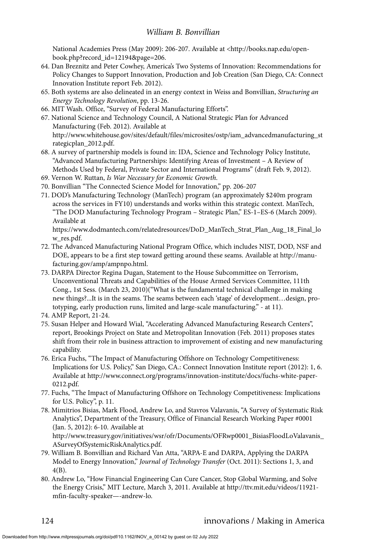National Academies Press (May 2009): 206-207. Available at <http://books.nap.edu/openbook.php?record\_id=12194&page=206.

- 64. Dan Breznitz and Peter Cowhey, America's Two Systems of Innovation: Recommendations for Policy Changes to Support Innovation, Production and Job Creation (San Diego, CA: Connect Innovation Institute report Feb. 2012).
- 65. Both systems are also delineated in an energy context in Weiss and Bonvillian, *Structuring an Energy Technology Revolution*, pp. 13-26.
- 66. MIT Wash. Office, "Survey of Federal Manufacturing Efforts".
- 67. National Science and Technology Council, A National Strategic Plan for Advanced Manufacturing (Feb. 2012). Available at http://www.whitehouse.gov/sites/default/files/microsites/ostp/iam\_advancedmanufacturing\_st rategicplan\_2012.pdf.
- 68. A survey of partnership models is found in: IDA, Science and Technology Policy Institute, "Advanced Manufacturing Partnerships: Identifying Areas of Investment – A Review of Methods Used by Federal, Private Sector and International Programs" (draft Feb. 9, 2012).
- 69. Vernon W. Ruttan, *Is War Necessary for Economic Growth*.
- 70. Bonvillian "The Connected Science Model for Innovation," pp. 206-207
- 71. DOD's Manufacturing Technology (ManTech) program (an approximately \$240m program across the services in FY10) understands and works within this strategic context. ManTech, "The DOD Manufacturing Technology Program – Strategic Plan," ES-1–ES-6 (March 2009). Available at

https://www.dodmantech.com/relatedresources/DoD\_ManTech\_Strat\_Plan\_Aug\_18\_Final\_lo w\_res.pdf.

- 72. The Advanced Manufacturing National Program Office, which includes NIST, DOD, NSF and DOE, appears to be a first step toward getting around these seams. Available at http://manufacturing.gov/amp/ampnpo.html.
- 73. DARPA Director Regina Dugan, Statement to the House Subcommittee on Terrorism, Unconventional Threats and Capabilities of the House Armed Services Committee, 111th Cong., 1st Sess. (March 23, 2010)("What is the fundamental technical challenge in making new things?...It is in the seams. The seams between each 'stage' of development…design, prototyping, early production runs, limited and large-scale manufacturing." - at 11).
- 74. AMP Report, 21-24.
- 75. Susan Helper and Howard Wial, "Accelerating Advanced Manufacturing Research Centers", report, Brookings Project on State and Metropolitan Innovation (Feb. 2011) proposes states shift from their role in business attraction to improvement of existing and new manufacturing capability.
- 76. Erica Fuchs, "The Impact of Manufacturing Offshore on Technology Competitiveness: Implications for U.S. Policy," San Diego, CA.: Connect Innovation Institute report (2012): 1, 6. Available at http://www.connect.org/programs/innovation-institute/docs/fuchs-white-paper-0212.pdf.
- 77. Fuchs, "The Impact of Manufacturing Offshore on Technology Competitiveness: Implications for U.S. Policy", p. 11.
- 78. Mimitrios Bisias, Mark Flood, Andrew Lo, and Stavros Valavanis, "A Survey of Systematic Risk Analytics", Department of the Treasury, Office of Financial Research Working Paper #0001 (Jan. 5, 2012): 6-10. Available at

http://www.treasury.gov/initiatives/wsr/ofr/Documents/OFRwp0001\_BisiasFloodLoValavanis\_ ASurveyOfSystemicRiskAnalytics.pdf.

- 79. William B. Bonvillian and Richard Van Atta, "ARPA-E and DARPA, Applying the DARPA Model to Energy Innovation," *Journal of Technology Transfer* (Oct. 2011): Sections 1, 3, and 4(B).
- 80. Andrew Lo, "How Financial Engineering Can Cure Cancer, Stop Global Warming, and Solve the Energy Crisis," MIT Lecture, March 3, 2011. Available at http://ttv.mit.edu/videos/11921 mfin-faculty-speaker—-andrew-lo.